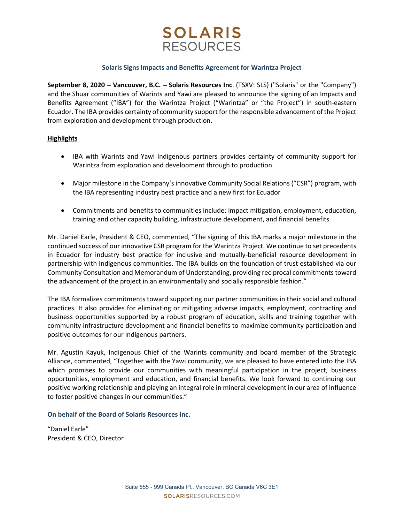# **SOLARIS RESOURCES**

## Solaris Signs Impacts and Benefits Agreement for Warintza Project

September 8, 2020 – Vancouver, B.C. – Solaris Resources Inc. (TSXV: SLS) ("Solaris" or the "Company") and the Shuar communities of Warints and Yawi are pleased to announce the signing of an Impacts and Benefits Agreement ("IBA") for the Warintza Project ("Warintza" or "the Project") in south-eastern Ecuador. The IBA provides certainty of community support for the responsible advancement of the Project from exploration and development through production.

## **Highlights**

- IBA with Warints and Yawi Indigenous partners provides certainty of community support for Warintza from exploration and development through to production
- Major milestone in the Company's innovative Community Social Relations ("CSR") program, with the IBA representing industry best practice and a new first for Ecuador
- Commitments and benefits to communities include: impact mitigation, employment, education, training and other capacity building, infrastructure development, and financial benefits

Mr. Daniel Earle, President & CEO, commented, "The signing of this IBA marks a major milestone in the continued success of our innovative CSR program for the Warintza Project. We continue to set precedents in Ecuador for industry best practice for inclusive and mutually-beneficial resource development in partnership with Indigenous communities. The IBA builds on the foundation of trust established via our Community Consultation and Memorandum of Understanding, providing reciprocal commitments toward the advancement of the project in an environmentally and socially responsible fashion."

The IBA formalizes commitments toward supporting our partner communities in their social and cultural practices. It also provides for eliminating or mitigating adverse impacts, employment, contracting and business opportunities supported by a robust program of education, skills and training together with community infrastructure development and financial benefits to maximize community participation and positive outcomes for our Indigenous partners.

Mr. Agustín Kayuk, Indigenous Chief of the Warints community and board member of the Strategic Alliance, commented, "Together with the Yawi community, we are pleased to have entered into the IBA which promises to provide our communities with meaningful participation in the project, business opportunities, employment and education, and financial benefits. We look forward to continuing our positive working relationship and playing an integral role in mineral development in our area of influence to foster positive changes in our communities."

## On behalf of the Board of Solaris Resources Inc.

"Daniel Earle" President & CEO, Director